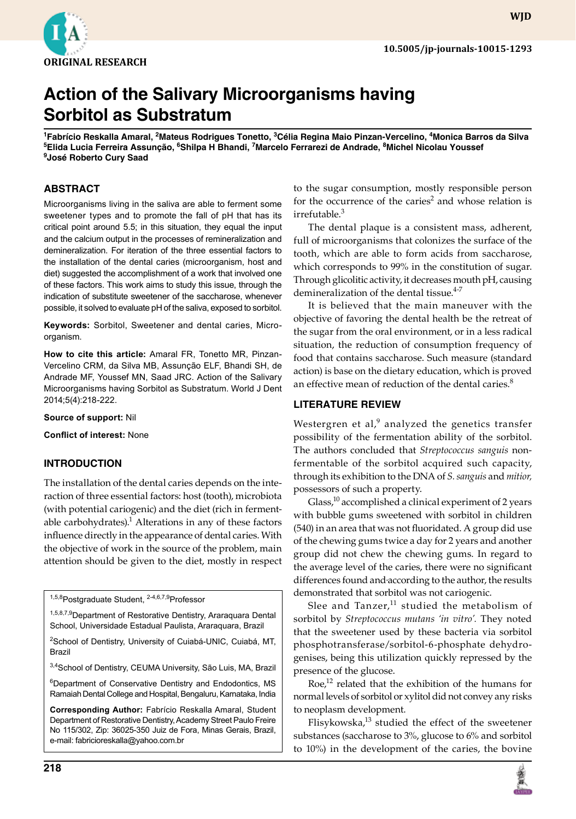

**wjd**

# **Action of the Salivary Microorganisms having Sorbitol as Substratum**

<sup>1</sup>Fabrício Reskalla Amaral, <sup>2</sup>Mateus Rodrigues Tonetto, <sup>3</sup>Célia Regina Maio Pinzan-Vercelino, <sup>4</sup>Monica Barros da Silva  $^5$ Elida Lucia Ferreira Assunção,  $^6$ Shilpa H Bhandi, <sup>7</sup>Marcelo Ferrarezi de Andrade,  $^8$ Michel Nicolau Youssef **9 José Roberto Cury Saad**

## **ABSTRACT**

Microorganisms living in the saliva are able to ferment some sweetener types and to promote the fall of pH that has its critical point around 5.5; in this situation, they equal the input and the calcium output in the processes of remineralization and demineralization. For iteration of the three essential factors to the installation of the dental caries (microorganism, host and diet) suggested the accomplishment of a work that involved one of these factors. This work aims to study this issue, through the indication of substitute sweetener of the saccharose, whenever possible, it solved to evaluate pH of the saliva, exposed to sorbitol.

**Keywords:** Sorbitol, Sweetener and dental caries, Microorganism.

**How to cite this article:** Amaral FR, Tonetto MR, Pinzan-Vercelino CRM, da Silva MB, Assunção ELF, Bhandi SH, de Andrade MF, Youssef MN, Saad JRC. Action of the Salivary Microorganisms having Sorbitol as Substratum. World J Dent 2014;5(4):218-222.

**Source of support:** Nil

**Conflict of interest:** None

#### **INTRODUCTION**

The installation of the dental caries depends on the interaction of three essential factors: host (tooth), microbiota (with potential cariogenic) and the diet (rich in fermentable carbohydrates). $<sup>1</sup>$  Alterations in any of these factors</sup> influence directly in the appearance of dental caries. With the objective of work in the source of the problem, main attention should be given to the diet, mostly in respect

1,5,8Postgraduate Student, 2-4,6,7,9Professor

1,5,8,7,9Department of Restorative Dentistry, Araraquara Dental School, Universidade Estadual Paulista, Araraquara, Brazil

<sup>2</sup>School of Dentistry, University of Cuiabá-UNIC, Cuiabá, MT, Brazil

3,4School of Dentistry, CEUMA University, São Luis, MA, Brazil

<sup>6</sup>Department of Conservative Dentistry and Endodontics, MS Ramaiah Dental College and Hospital, Bengaluru, Karnataka, India

**Corresponding Author:** Fabrício Reskalla Amaral, Student Department of Restorative Dentistry, Academy Street Paulo Freire No 115/302, Zip: 36025-350 Juiz de Fora, Minas Gerais, Brazil, e-mail: fabricioreskalla@yahoo.com.br

to the sugar consumption, mostly responsible person for the occurrence of the caries<sup>2</sup> and whose relation is irrefutable.<sup>3</sup>

The dental plaque is a consistent mass, adherent, full of microorganisms that colonizes the surface of the tooth, which are able to form acids from saccharose, which corresponds to 99% in the constitution of sugar. Through glicolitic activity, it decreases mouth pH, causing demineralization of the dental tissue.<sup>4-7</sup>

It is believed that the main maneuver with the objective of favoring the dental health be the retreat of the sugar from the oral environment, or in a less radical situation, the reduction of consumption frequency of food that contains saccharose. Such measure (standard action) is base on the dietary education, which is proved an effective mean of reduction of the dental caries.<sup>8</sup>

#### **LITERATURE REVIEW**

Westergren et al, $9$  analyzed the genetics transfer possibility of the fermentation ability of the sorbitol. The authors concluded that *Streptococcus sanguis* nonfermentable of the sorbitol acquired such capacity, through its exhibition to the DNA of *S. sanguis* and *mitior,*  possessors of such a property.

Glass, $^{10}$  accomplished a clinical experiment of 2 years with bubble gums sweetened with sorbitol in children (540) in an area that was not fluoridated. A group did use of the chewing gums twice a day for 2 years and another group did not chew the chewing gums. In regard to the average level of the caries, there were no significant differences found and according to the author, the results demonstrated that sorbitol was not cariogenic.

Slee and Tanzer, $11$  studied the metabolism of sorbitol by *Streptococcus mutans 'in vitro'.* They noted that the sweetener used by these bacteria via sorbitol phosphotransferase/sorbitol-6-phosphate dehydrogenises, being this utilization quickly repressed by the presence of the glucose.

Roe, $12$  related that the exhibition of the humans for normal levels of sorbitol or xylitol did not convey any risks to neoplasm development.

Flisykowska, $^{13}$  studied the effect of the sweetener substances (saccharose to 3%, glucose to 6% and sorbitol to 10%) in the development of the caries, the bovine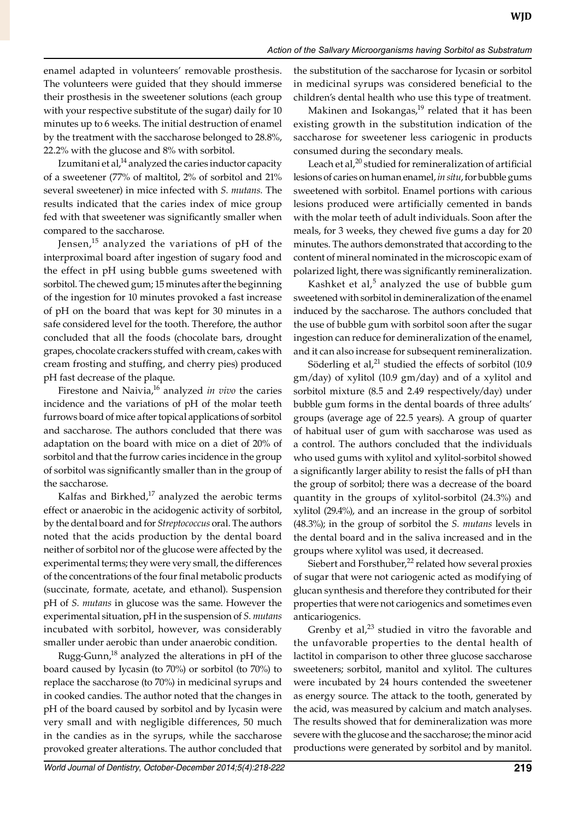enamel adapted in volunteers' removable prosthesis. The volunteers were guided that they should immerse their prosthesis in the sweetener solutions (each group with your respective substitute of the sugar) daily for 10 minutes up to 6 weeks. The initial destruction of enamel by the treatment with the saccharose belonged to 28.8%, 22.2% with the glucose and 8% with sorbitol.

Izumitani et al, $<sup>14</sup>$  analyzed the caries inductor capacity</sup> of a sweetener (77% of maltitol, 2% of sorbitol and 21% several sweetener) in mice infected with *S. mutans.* The results indicated that the caries index of mice group fed with that sweetener was significantly smaller when compared to the saccharose.

Jensen, $15$  analyzed the variations of pH of the interproximal board after ingestion of sugary food and the effect in pH using bubble gums sweetened with sorbitol. The chewed gum; 15 minutes after the beginning of the ingestion for 10 minutes provoked a fast increase of pH on the board that was kept for 30 minutes in a safe considered level for the tooth. Therefore, the author concluded that all the foods (chocolate bars, drought grapes, chocolate crackers stuffed with cream, cakes with cream frosting and stuffing, and cherry pies) produced pH fast decrease of the plaque.

Firestone and Naivia,<sup>16</sup> analyzed *in vivo* the caries incidence and the variations of pH of the molar teeth furrows board of mice after topical applications of sorbitol and saccharose. The authors concluded that there was adaptation on the board with mice on a diet of 20% of sorbitol and that the furrow caries incidence in the group of sorbitol was significantly smaller than in the group of the saccharose.

Kalfas and Birkhed, $17$  analyzed the aerobic terms effect or anaerobic in the acidogenic activity of sorbitol, by the dental board and for *Streptococcus* oral. The authors noted that the acids production by the dental board neither of sorbitol nor of the glucose were affected by the experimental terms; they were very small, the differences of the concentrations of the four final metabolic products (succinate, formate, acetate, and ethanol). Suspension pH of *S. mutans* in glucose was the same. However the experimental situation, pH in the suspension of *S. mutans*  incubated with sorbitol, however, was considerably smaller under aerobic than under anaerobic condition.

Rugg-Gunn, $^{18}$  analyzed the alterations in pH of the board caused by Iycasin (to 70%) or sorbitol (to 70%) to replace the saccharose (to 70%) in medicinal syrups and in cooked candies. The author noted that the changes in pH of the board caused by sorbitol and by Iycasin were very small and with negligible differences, 50 much in the candies as in the syrups, while the saccharose provoked greater alterations. The author concluded that

the substitution of the saccharose for Iycasin or sorbitol in medicinal syrups was considered beneficial to the children's dental health who use this type of treatment.

Makinen and Isokangas, $19$  related that it has been existing growth in the substitution indication of the saccharose for sweetener less cariogenic in products consumed during the secondary meals.

Leach et al, $^{20}$  studied for remineralization of artificial lesions of caries on human enamel, *in situ*, for bubble gums sweetened with sorbitol. Enamel portions with carious lesions produced were artificially cemented in bands with the molar teeth of adult individuals. Soon after the meals, for 3 weeks, they chewed five gums a day for 20 minutes. The authors demonstrated that according to the content of mineral nominated in the microscopic exam of polarized light, there was significantly remineralization.

Kashket et al,<sup>5</sup> analyzed the use of bubble gum sweetened with sorbitol in demineralization of the enamel induced by the saccharose. The authors concluded that the use of bubble gum with sorbitol soon after the sugar ingestion can reduce for demineralization of the enamel, and it can also increase for subsequent remineralization.

Söderling et al, $^{21}$  studied the effects of sorbitol (10.9) gm/day) of xylitol (10.9 gm/day) and of a xylitol and sorbitol mixture (8.5 and 2.49 respectively/day) under bubble gum forms in the dental boards of three adults' groups (average age of 22.5 years). A group of quarter of habitual user of gum with saccharose was used as a control. The authors concluded that the individuals who used gums with xylitol and xylitol-sorbitol showed a significantly larger ability to resist the falls of pH than the group of sorbitol; there was a decrease of the board quantity in the groups of xylitol-sorbitol (24.3%) and xylitol (29.4%), and an increase in the group of sorbitol (48.3%); in the group of sorbitol the *S. mutans* levels in the dental board and in the saliva increased and in the groups where xylitol was used, it decreased.

Siebert and Forsthuber, $^{22}$  related how several proxies of sugar that were not cariogenic acted as modifying of glucan synthesis and therefore they contributed for their properties that were not cariogenics and sometimes even anticariogenics.

Grenby et al, $^{23}$  studied in vitro the favorable and the unfavorable properties to the dental health of lactitol in comparison to other three glucose saccharose sweeteners; sorbitol, manitol and xylitol. The cultures were incubated by 24 hours contended the sweetener as energy source. The attack to the tooth, generated by the acid, was measured by calcium and match analyses. The results showed that for demineralization was more severe with the glucose and the saccharose; the minor acid productions were generated by sorbitol and by manitol.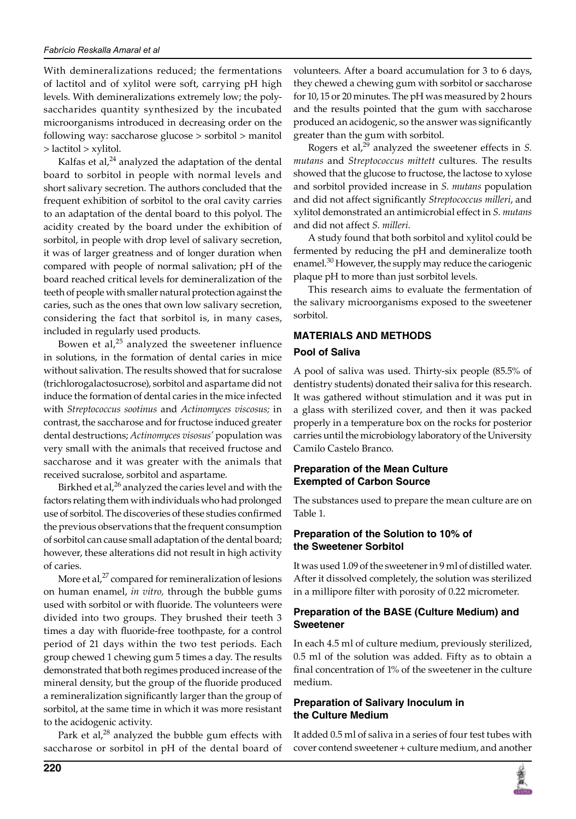With demineralizations reduced; the fermentations of lactitol and of xylitol were soft, carrying pH high levels. With demineralizations extremely low; the polysaccharides quantity synthesized by the incubated microorganisms introduced in decreasing order on the following way: saccharose glucose > sorbitol > manitol > lactitol > xylitol.

Kalfas et al, $^{24}$  analyzed the adaptation of the dental board to sorbitol in people with normal levels and short salivary secretion. The authors concluded that the frequent exhibition of sorbitol to the oral cavity carries to an adaptation of the dental board to this polyol. The acidity created by the board under the exhibition of sorbitol, in people with drop level of salivary secretion, it was of larger greatness and of longer duration when compared with people of normal salivation; pH of the board reached critical levels for demineralization of the teeth of people with smaller natural protection against the caries, such as the ones that own low salivary secretion, considering the fact that sorbitol is, in many cases, included in regularly used products.

Bowen et al, $25$  analyzed the sweetener influence in solutions, in the formation of dental caries in mice without salivation. The results showed that for sucralose (trichlorogalactosucrose), sorbitol and aspartame did not induce the formation of dental caries in the mice infected with *Streptococcus sootinus* and *Actinomyces viscosus;* in contrast, the saccharose and for fructose induced greater dental destructions; *Actinomyces visosus'* population was very small with the animals that received fructose and saccharose and it was greater with the animals that received sucralose, sorbitol and aspartame.

Birkhed et al, $^{26}$  analyzed the caries level and with the factors relating them with individuals who had prolonged use of sorbitol. The discoveries of these studies confirmed the previous observations that the frequent consumption of sorbitol can cause small adaptation of the dental board; however, these alterations did not result in high activity of caries.

More et al,<sup>27</sup> compared for remineralization of lesions on human enamel, *in vitro,* through the bubble gums used with sorbitol or with fluoride. The volunteers were divided into two groups. They brushed their teeth 3 times a day with fluoride-free toothpaste, for a control period of 21 days within the two test periods. Each group chewed 1 chewing gum 5 times a day. The results demonstrated that both regimes produced increase of the mineral density, but the group of the fluoride produced a remineralization significantly larger than the group of sorbitol, at the same time in which it was more resistant to the acidogenic activity.

Park et al, $^{28}$  analyzed the bubble gum effects with saccharose or sorbitol in pH of the dental board of

volunteers. After a board accumulation for 3 to 6 days, they chewed a chewing gum with sorbitol or saccharose for 10, 15 or 20 minutes. The pH was measured by 2 hours and the results pointed that the gum with saccharose produced an acidogenic, so the answer was significantly greater than the gum with sorbitol.

Rogers et al,<sup>29</sup> analyzed the sweetener effects in *S. mutans* and *Streptococcus mittett* cultures*.* The results showed that the glucose to fructose, the lactose to xylose and sorbitol provided increase in *S. mutans* population and did not affect significantly *Streptococcus milleri*, and xylitol demonstrated an antimicrobial effect in *S. mutans*  and did not affect *S. milleri.*

A study found that both sorbitol and xylitol could be fermented by reducing the pH and demineralize tooth enamel.<sup>30</sup> However, the supply may reduce the cariogenic plaque pH to more than just sorbitol levels.

This research aims to evaluate the fermentation of the salivary microorganisms exposed to the sweetener sorbitol.

# **MATERIALs AND METHODS**

# **Pool of Saliva**

A pool of saliva was used. Thirty-six people (85.5% of dentistry students) donated their saliva for this research. It was gathered without stimulation and it was put in a glass with sterilized cover, and then it was packed properly in a temperature box on the rocks for posterior carries until the microbiology laboratory of the University Camilo Castelo Branco.

#### **Preparation of the Mean Culture Exempted of Carbon Source**

The substances used to prepare the mean culture are on Table 1.

## **Preparation of the Solution to 10% of the Sweetener Sorbitol**

It was used 1.09 of the sweetener in 9 ml of distilled water. After it dissolved completely, the solution was sterilized in a millipore filter with porosity of 0.22 micrometer.

#### **Preparation of the BASE (Culture Medium) and Sweetener**

In each 4.5 ml of culture medium, previously sterilized, 0.5 ml of the solution was added. Fifty as to obtain a final concentration of 1% of the sweetener in the culture medium.

## **Preparation of Salivary Inoculum in the Culture Medium**

It added 0.5 ml of saliva in a series of four test tubes with cover contend sweetener + culture medium, and another

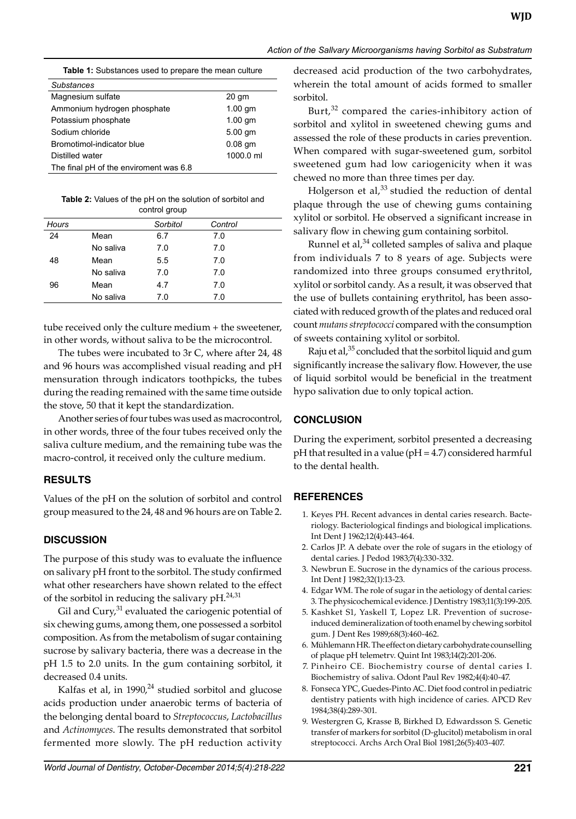| <b>Table 2:</b> Values of the pH on the solution of sorbitol and |
|------------------------------------------------------------------|
| control group                                                    |

Distilled water 1000.0 ml

The final pH of the enviroment was 6.8

| Hours |           | Sorbitol | Control |  |
|-------|-----------|----------|---------|--|
| 24    | Mean      | 6.7      | 7.0     |  |
|       | No saliva | 7.0      | 7.0     |  |
| 48    | Mean      | 5.5      | 7.0     |  |
|       | No saliva | 7.0      | 7.0     |  |
| 96    | Mean      | 4.7      | 7.0     |  |
|       | No saliva | 7.0      | 7.0     |  |

tube received only the culture medium + the sweetener, in other words, without saliva to be the microcontrol.

The tubes were incubated to 3r C, where after 24, 48 and 96 hours was accomplished visual reading and pH mensuration through indicators toothpicks, the tubes during the reading remained with the same time outside the stove, 50 that it kept the standardization.

Another series of four tubes was used as macrocontrol, in other words, three of the four tubes received only the saliva culture medium, and the remaining tube was the macro-control, it received only the culture medium.

#### **RESULTS**

Values of the pH on the solution of sorbitol and control group measured to the 24, 48 and 96 hours are on Table 2.

# **DISCUSSION**

The purpose of this study was to evaluate the influence on salivary pH front to the sorbitol. The study confirmed what other researchers have shown related to the effect of the sorbitol in reducing the salivary  $pH.<sup>24,31</sup>$ 

Gil and  $Cury<sub>1</sub><sup>31</sup>$  evaluated the cariogenic potential of six chewing gums, among them, one possessed a sorbitol composition. As from the metabolism of sugar containing sucrose by salivary bacteria, there was a decrease in the pH 1.5 to 2.0 units. In the gum containing sorbitol, it decreased 0.4 units.

Kalfas et al, in  $1990<sup>24</sup>$  studied sorbitol and glucose acids production under anaerobic terms of bacteria of the belonging dental board to *Streptococcus*, *Lactobacillus*  and *Actinomyces*. The results demonstrated that sorbitol fermented more slowly. The pH reduction activity decreased acid production of the two carbohydrates, wherein the total amount of acids formed to smaller sorbitol.

**WJD**

Burt, $32$  compared the caries-inhibitory action of sorbitol and xylitol in sweetened chewing gums and assessed the role of these products in caries prevention. When compared with sugar-sweetened gum, sorbitol sweetened gum had low cariogenicity when it was chewed no more than three times per day.

Holgerson et al, $33$  studied the reduction of dental plaque through the use of chewing gums containing xylitol or sorbitol. He observed a significant increase in salivary flow in chewing gum containing sorbitol.

Runnel et al, $34$  colleted samples of saliva and plaque from individuals 7 to 8 years of age. Subjects were randomized into three groups consumed erythritol, xylitol or sorbitol candy. As a result, it was observed that the use of bullets containing erythritol, has been associated with reduced growth of the plates and reduced oral count *mutans streptococci* compared with the consumption of sweets containing xylitol or sorbitol.

Raju et al, $35$  concluded that the sorbitol liquid and gum significantly increase the salivary flow. However, the use of liquid sorbitol would be beneficial in the treatment hypo salivation due to only topical action.

# **CONCLUSION**

During the experiment, sorbitol presented a decreasing  $pH$  that resulted in a value ( $pH = 4.7$ ) considered harmful to the dental health.

# **REFERENCES**

- 1. Keyes PH. Recent advances in dental caries research. Bacteriology. Bacteriological findings and biological implications. Int Dent J 1962;12(4):443-464.
- 2. Carlos JP. A debate over the role of sugars in the etiology of dental caries. J Pedod 1983;7(4):330-332.
- 3. Newbrun E. Sucrose in the dynamics of the carious process. Int Dent J 1982;32(1):13-23.
- 4. Edgar WM. The role of sugar in the aetiology of dental caries: 3. The physicochemical evidence. J Dentistry 1983;11(3):199-205.
- 5. Kashket S1, Yaskell T, Lopez LR. Prevention of sucroseinduced demineralization of tooth enamel by chewing sorbitol gum. J Dent Res 1989;68(3):460-462.
- 6. Mühlemann HR. The effect on dietary carbohydrate counselling of plaque pH telemetrv. Quint Int 1983;14(2):201-206.
- 7. Pinheiro CE. Biochemistry course of dental caries I. Biochemistry of saliva. Odont Paul Rev 1982;4(4):40-47.
- 8. Fonseca YPC, Guedes-Pinto AC. Diet food control in pediatric dentistry patients with high incidence of caries. APCD Rev 1984;38(4):289-301.
- 9. Westergren G, Krasse B, Birkhed D, Edwardsson S. Genetic transfer of markers for sorbitol (D-glucitol) metabolism in oral streptococci. Archs Arch Oral Biol 1981;26(5):403-407.